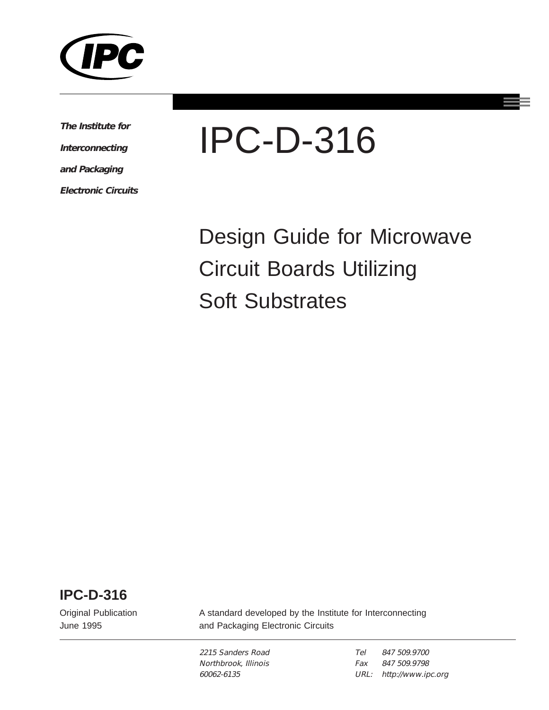

**The Institute for Interconnecting and Packaging**

**Electronic Circuits**

# IPC-D-316

Design Guide for Microwave Circuit Boards Utilizing Soft Substrates

**IPC-D-316**

Original Publication June 1995

A standard developed by the Institute for Interconnecting and Packaging Electronic Circuits

2215 Sanders Road Northbrook, Illinois 60062-6135

Tel Fax URL: http://www.ipc.org847 509.9700 847 509.9798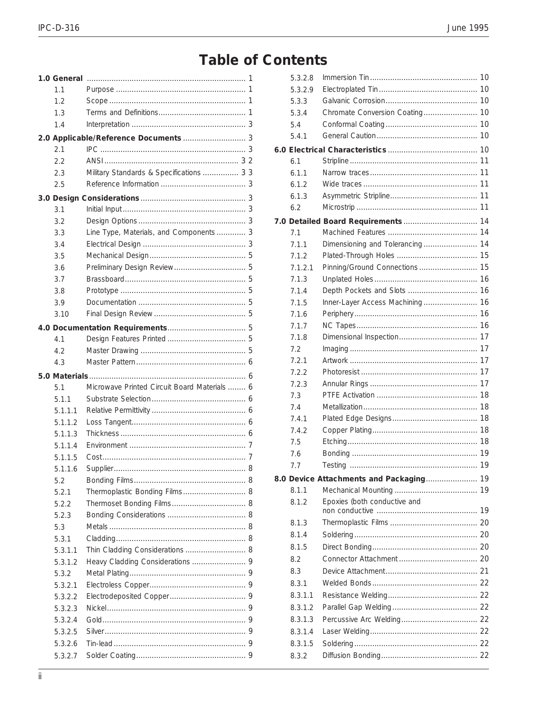## **Table of Contents**

| 1.1                |                                              |  |
|--------------------|----------------------------------------------|--|
| 1.2                |                                              |  |
| 1.3                |                                              |  |
| 1.4                |                                              |  |
|                    |                                              |  |
| 2.1                |                                              |  |
| 2.2                |                                              |  |
| 2.3                | Military Standards & Specifications  3 3     |  |
| 2.5                |                                              |  |
|                    |                                              |  |
| 3.1                |                                              |  |
| 3.2                |                                              |  |
| 3.3                | Line Type, Materials, and Components  3      |  |
| 3.4                |                                              |  |
| 3.5                |                                              |  |
| 3.6                |                                              |  |
| 3.7                |                                              |  |
| 3.8                |                                              |  |
| 3.9                |                                              |  |
| 3.10               |                                              |  |
|                    |                                              |  |
| 4.1                |                                              |  |
| 4.2                |                                              |  |
| 4.3                |                                              |  |
|                    |                                              |  |
|                    |                                              |  |
| 5.1                | Microwave Printed Circuit Board Materials  6 |  |
| 5.1.1              |                                              |  |
| 5.1.1.1            |                                              |  |
| 5.1.1.2            |                                              |  |
| 5.1.1.3            |                                              |  |
| 5.1.1.4            |                                              |  |
| 5.1.1.5            |                                              |  |
| 5.1.1.6            |                                              |  |
| 5.2                |                                              |  |
| 5.2.1              | Thermoplastic Bonding Films 8                |  |
| 5.2.2              |                                              |  |
| 5.2.3              |                                              |  |
| 5.3                |                                              |  |
| 5.3.1              |                                              |  |
| 5.3.1.1            | Thin Cladding Considerations  8              |  |
| 5.3.1.2            |                                              |  |
| 5.3.2              |                                              |  |
| 5.3.2.1            |                                              |  |
| 5.3.2.2            |                                              |  |
| 5.3.2.3            |                                              |  |
| 5.3.2.4            |                                              |  |
| 5.3.2.5            |                                              |  |
| 5.3.2.6<br>5.3.2.7 |                                              |  |

| 5.3.2.8      |                                         |    |
|--------------|-----------------------------------------|----|
| 5.3.2.9      |                                         |    |
| 5.3.3        |                                         |    |
| 5.3.4        |                                         |    |
| 5.4          |                                         |    |
| 5.4.1        |                                         |    |
|              |                                         |    |
| 6.1          |                                         |    |
| 6.1.1        |                                         |    |
| 6.1.2        |                                         |    |
| 6.1.3        |                                         |    |
| 6.2          |                                         |    |
|              |                                         |    |
| 7.1          |                                         |    |
| 7.1.1        |                                         |    |
| 7.1.2        |                                         |    |
| 7.1.2.1      |                                         |    |
| 7.1.3        |                                         |    |
| 7.1.4        |                                         |    |
| 7.1.5        | Inner-Layer Access Machining 16         |    |
| 7.1.6        |                                         |    |
| 7.1.7        |                                         |    |
| 7.1.8        |                                         |    |
| 7.2          |                                         |    |
| 7.2.1        |                                         |    |
| 7.2.2        |                                         |    |
| 7.2.3        |                                         |    |
| 7.3          |                                         |    |
| 7.4          |                                         |    |
| 7.4.1        |                                         |    |
| 7.4.2<br>7.5 |                                         |    |
| 7.6          |                                         |    |
|              |                                         | 19 |
| 7.7          |                                         |    |
|              | 8.0 Device Attachments and Packaging 19 |    |
| 8.1.1        | Epoxies (both conductive and            |    |
| 8.1.2        |                                         |    |
| 8.1.3        |                                         |    |
| 8.1.4        |                                         |    |
| 8.1.5        |                                         |    |
| 8.2          |                                         |    |
| 83           |                                         |    |
| 8.3.1        |                                         |    |
| 8.3.1.1      |                                         |    |
| 8.3.1.2      |                                         |    |
| 8.3.1.3      |                                         |    |
| 8.3.1.4      |                                         |    |
| 8.3.1.5      |                                         |    |
| 8.3.2        |                                         |    |
|              |                                         |    |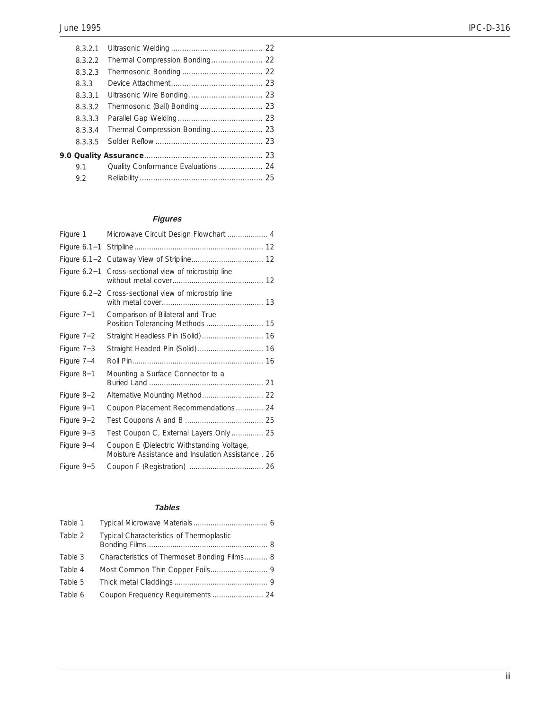| 8.3.2.1 |                                |  |
|---------|--------------------------------|--|
| 8.3.2.2 |                                |  |
| 8.3.2.3 |                                |  |
| 8.3.3   |                                |  |
| 8.3.3.1 |                                |  |
| 8.3.3.2 |                                |  |
| 8.3.3.3 |                                |  |
| 8.3.3.4 | Thermal Compression Bonding 23 |  |
| 8.3.3.5 |                                |  |
|         |                                |  |
| 9.1     |                                |  |
| 9.2     |                                |  |

### **Figures**

| Figure 1       | Microwave Circuit Design Flowchart  4                                                            |
|----------------|--------------------------------------------------------------------------------------------------|
| Figure $6.1-1$ |                                                                                                  |
| Figure $6.1-2$ |                                                                                                  |
| Figure $6.2-1$ | Cross-sectional view of microstrip line                                                          |
| Figure $6.2-2$ | Cross-sectional view of microstrip line                                                          |
| Figure 7-1     | Comparison of Bilateral and True                                                                 |
| Figure 7-2     | Straight Headless Pin (Solid)  16                                                                |
| Figure 7-3     | Straight Headed Pin (Solid)  16                                                                  |
| Figure 7-4     |                                                                                                  |
| Figure 8-1     | Mounting a Surface Connector to a                                                                |
| Figure 8-2     | Alternative Mounting Method 22                                                                   |
| Figure 9-1     | Coupon Placement Recommendations 24                                                              |
| Figure $9-2$   |                                                                                                  |
| Figure 9-3     | Test Coupon C, External Layers Only  25                                                          |
| Figure 9-4     | Coupon E (Dielectric Withstanding Voltage,<br>Moisture Assistance and Insulation Assistance . 26 |
| Figure 9-5     |                                                                                                  |

#### **Tables**

| Table 1 |                                              |  |
|---------|----------------------------------------------|--|
| Table 2 | Typical Characteristics of Thermoplastic     |  |
| Table 3 | Characteristics of Thermoset Bonding Films 8 |  |
| Table 4 |                                              |  |
| Table 5 |                                              |  |
| Table 6 | Coupon Frequency Requirements  24            |  |